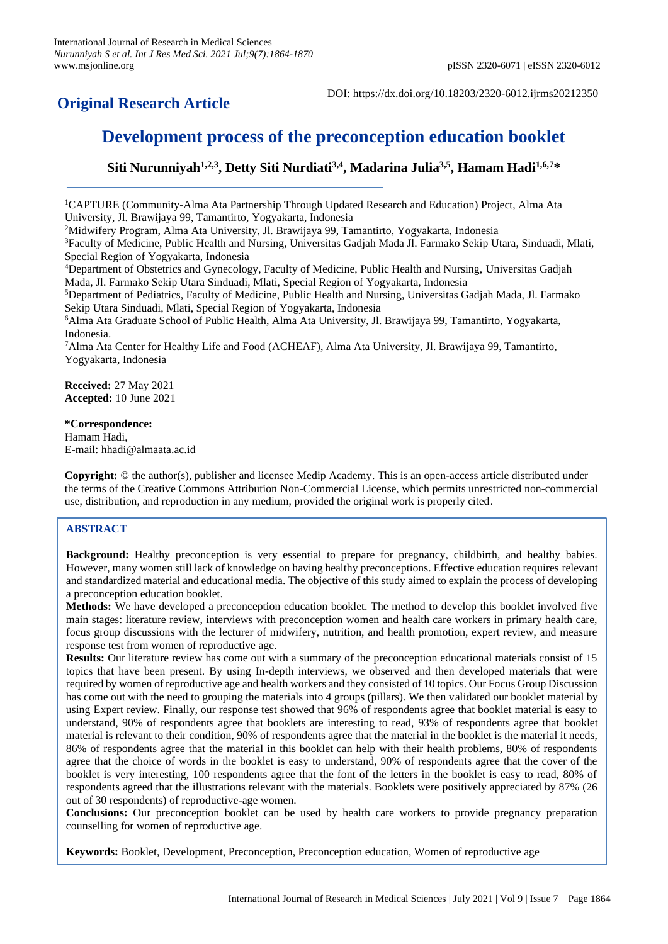## **Original Research Article**

DOI: https://dx.doi.org/10.18203/2320-6012.ijrms20212350

# **Development process of the preconception education booklet**

**Siti Nurunniyah1,2,3 , Detty Siti Nurdiati3,4, Madarina Julia3,5 , Hamam Hadi1,6,7\***

<sup>1</sup>CAPTURE (Community-Alma Ata Partnership Through Updated Research and Education) Project, Alma Ata University, Jl. Brawijaya 99, Tamantirto, Yogyakarta, Indonesia

<sup>2</sup>Midwifery Program, Alma Ata University, Jl. Brawijaya 99, Tamantirto, Yogyakarta, Indonesia

<sup>3</sup>Faculty of Medicine, Public Health and Nursing, Universitas Gadjah Mada Jl. Farmako Sekip Utara, Sinduadi, Mlati, Special Region of Yogyakarta, Indonesia

<sup>4</sup>Department of Obstetrics and Gynecology, Faculty of Medicine, Public Health and Nursing, Universitas Gadjah Mada, Jl. Farmako Sekip Utara Sinduadi, Mlati, Special Region of Yogyakarta, Indonesia

<sup>5</sup>Department of Pediatrics, Faculty of Medicine, Public Health and Nursing, Universitas Gadjah Mada, Jl. Farmako Sekip Utara Sinduadi, Mlati, Special Region of Yogyakarta, Indonesia

<sup>6</sup>Alma Ata Graduate School of Public Health, Alma Ata University, Jl. Brawijaya 99, Tamantirto, Yogyakarta, Indonesia.

<sup>7</sup>Alma Ata Center for Healthy Life and Food (ACHEAF), Alma Ata University, Jl. Brawijaya 99, Tamantirto, Yogyakarta, Indonesia

**Received:** 27 May 2021 **Accepted:** 10 June 2021

## **\*Correspondence:**

Hamam Hadi, E-mail: hhadi@almaata.ac.id

**Copyright:** © the author(s), publisher and licensee Medip Academy. This is an open-access article distributed under the terms of the Creative Commons Attribution Non-Commercial License, which permits unrestricted non-commercial use, distribution, and reproduction in any medium, provided the original work is properly cited.

## **ABSTRACT**

**Background:** Healthy preconception is very essential to prepare for pregnancy, childbirth, and healthy babies. However, many women still lack of knowledge on having healthy preconceptions. Effective education requires relevant and standardized material and educational media. The objective of this study aimed to explain the process of developing a preconception education booklet.

**Methods:** We have developed a preconception education booklet. The method to develop this booklet involved five main stages: literature review, interviews with preconception women and health care workers in primary health care, focus group discussions with the lecturer of midwifery, nutrition, and health promotion, expert review, and measure response test from women of reproductive age.

**Results:** Our literature review has come out with a summary of the preconception educational materials consist of 15 topics that have been present. By using In-depth interviews, we observed and then developed materials that were required by women of reproductive age and health workers and they consisted of 10 topics. Our Focus Group Discussion has come out with the need to grouping the materials into 4 groups (pillars). We then validated our booklet material by using Expert review. Finally, our response test showed that 96% of respondents agree that booklet material is easy to understand, 90% of respondents agree that booklets are interesting to read, 93% of respondents agree that booklet material is relevant to their condition, 90% of respondents agree that the material in the booklet is the material it needs, 86% of respondents agree that the material in this booklet can help with their health problems, 80% of respondents agree that the choice of words in the booklet is easy to understand, 90% of respondents agree that the cover of the booklet is very interesting, 100 respondents agree that the font of the letters in the booklet is easy to read, 80% of respondents agreed that the illustrations relevant with the materials. Booklets were positively appreciated by 87% (26 out of 30 respondents) of reproductive-age women.

**Conclusions:** Our preconception booklet can be used by health care workers to provide pregnancy preparation counselling for women of reproductive age.

**Keywords:** Booklet, Development, Preconception, Preconception education, Women of reproductive age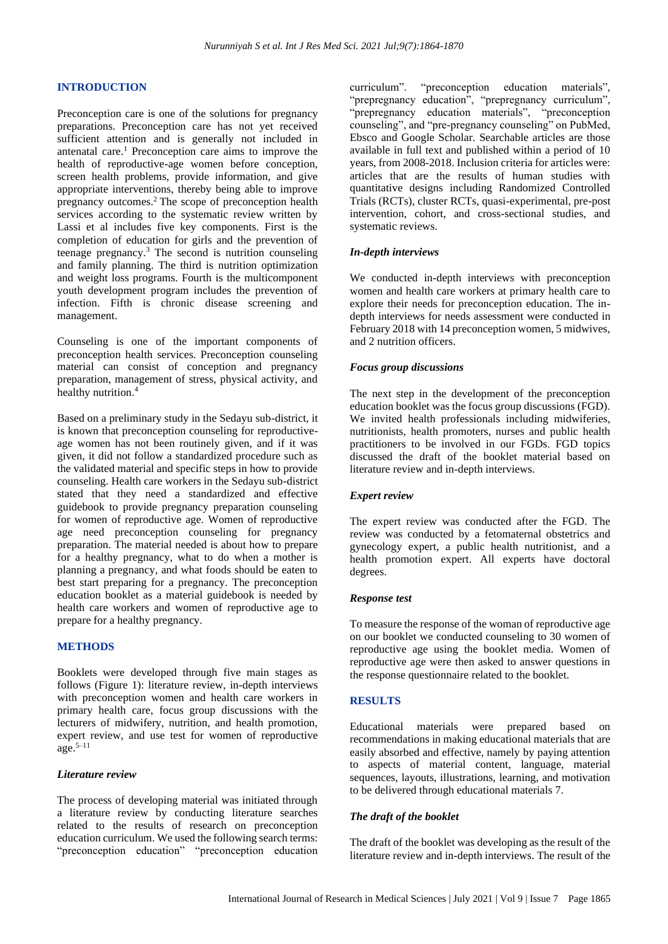## **INTRODUCTION**

Preconception care is one of the solutions for pregnancy preparations. Preconception care has not yet received sufficient attention and is generally not included in antenatal care.<sup>1</sup> Preconception care aims to improve the health of reproductive-age women before conception, screen health problems, provide information, and give appropriate interventions, thereby being able to improve pregnancy outcomes.<sup>2</sup> The scope of preconception health services according to the systematic review written by Lassi et al includes five key components. First is the completion of education for girls and the prevention of teenage pregnancy.<sup>3</sup> The second is nutrition counseling and family planning. The third is nutrition optimization and weight loss programs. Fourth is the multicomponent youth development program includes the prevention of infection. Fifth is chronic disease screening and management.

Counseling is one of the important components of preconception health services. Preconception counseling material can consist of conception and pregnancy preparation, management of stress, physical activity, and healthy nutrition. 4

Based on a preliminary study in the Sedayu sub-district, it is known that preconception counseling for reproductiveage women has not been routinely given, and if it was given, it did not follow a standardized procedure such as the validated material and specific steps in how to provide counseling. Health care workers in the Sedayu sub-district stated that they need a standardized and effective guidebook to provide pregnancy preparation counseling for women of reproductive age. Women of reproductive age need preconception counseling for pregnancy preparation. The material needed is about how to prepare for a healthy pregnancy, what to do when a mother is planning a pregnancy, and what foods should be eaten to best start preparing for a pregnancy. The preconception education booklet as a material guidebook is needed by health care workers and women of reproductive age to prepare for a healthy pregnancy.

## **METHODS**

Booklets were developed through five main stages as follows (Figure 1): literature review, in-depth interviews with preconception women and health care workers in primary health care, focus group discussions with the lecturers of midwifery, nutrition, and health promotion, expert review, and use test for women of reproductive  $\text{age}$ .  $5-11$ 

#### *Literature review*

The process of developing material was initiated through a literature review by conducting literature searches related to the results of research on preconception education curriculum. We used the following search terms: "preconception education" "preconception education curriculum". "preconception education materials", "prepregnancy education", "prepregnancy curriculum", "prepregnancy education materials", "preconception counseling", and "pre-pregnancy counseling" on PubMed, Ebsco and Google Scholar. Searchable articles are those available in full text and published within a period of 10 years, from 2008-2018. Inclusion criteria for articles were: articles that are the results of human studies with quantitative designs including Randomized Controlled Trials (RCTs), cluster RCTs, quasi-experimental, pre-post intervention, cohort, and cross-sectional studies, and systematic reviews.

#### *In-depth interviews*

We conducted in-depth interviews with preconception women and health care workers at primary health care to explore their needs for preconception education. The indepth interviews for needs assessment were conducted in February 2018 with 14 preconception women, 5 midwives, and 2 nutrition officers.

#### *Focus group discussions*

The next step in the development of the preconception education booklet was the focus group discussions (FGD). We invited health professionals including midwiferies, nutritionists, health promoters, nurses and public health practitioners to be involved in our FGDs. FGD topics discussed the draft of the booklet material based on literature review and in-depth interviews.

#### *Expert review*

The expert review was conducted after the FGD. The review was conducted by a fetomaternal obstetrics and gynecology expert, a public health nutritionist, and a health promotion expert. All experts have doctoral degrees.

#### *Response test*

To measure the response of the woman of reproductive age on our booklet we conducted counseling to 30 women of reproductive age using the booklet media. Women of reproductive age were then asked to answer questions in the response questionnaire related to the booklet.

## **RESULTS**

Educational materials were prepared based on recommendations in making educational materials that are easily absorbed and effective, namely by paying attention to aspects of material content, language, material sequences, layouts, illustrations, learning, and motivation to be delivered through educational materials 7.

## *The draft of the booklet*

The draft of the booklet was developing as the result of the literature review and in-depth interviews. The result of the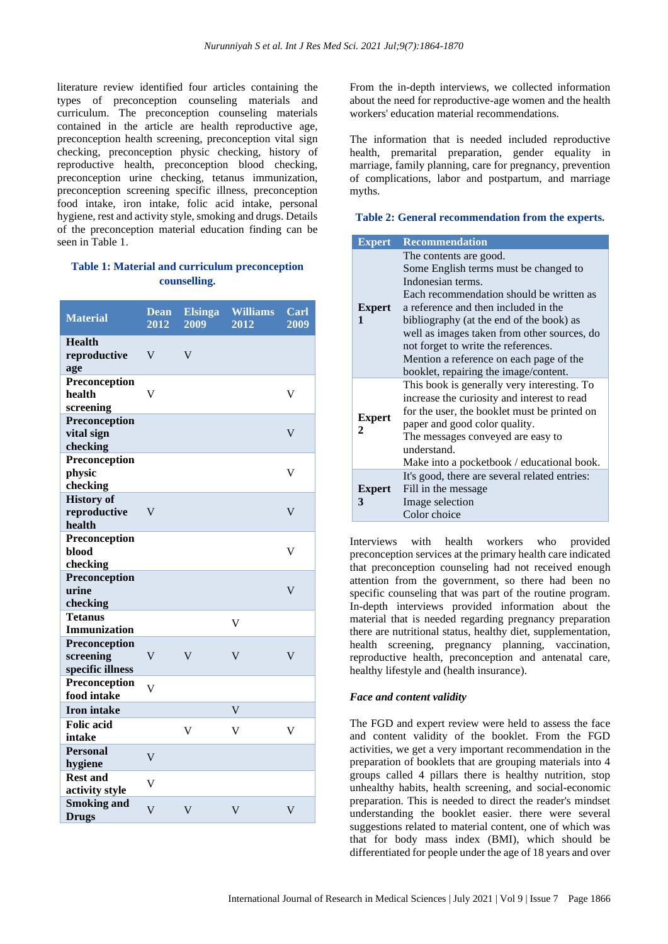literature review identified four articles containing the types of preconception counseling materials and curriculum. The preconception counseling materials contained in the article are health reproductive age, preconception health screening, preconception vital sign checking, preconception physic checking, history of reproductive health, preconception blood checking, preconception urine checking, tetanus immunization, preconception screening specific illness, preconception food intake, iron intake, folic acid intake, personal hygiene, rest and activity style, smoking and drugs. Details of the preconception material education finding can be seen in Table 1.

## **Table 1: Material and curriculum preconception counselling.**

| <b>Material</b>                                | <b>Dean</b><br>2012     | <b>Elsinga</b><br>2009  | <b>Williams</b><br>2012 | Carl<br>2009            |
|------------------------------------------------|-------------------------|-------------------------|-------------------------|-------------------------|
| <b>Health</b><br>reproductive<br>age           | V                       | $\mathbf V$             |                         |                         |
| Preconception<br>health<br>screening           | V                       |                         |                         | V                       |
| Preconception<br>vital sign<br>checking        |                         |                         |                         | V                       |
| Preconception<br>physic<br>checking            |                         |                         |                         | V                       |
| <b>History of</b><br>reproductive<br>health    | V                       |                         |                         | $\overline{\mathsf{V}}$ |
| Preconception<br>blood<br>checking             |                         |                         |                         | V                       |
| Preconception<br>urine<br>checking             |                         |                         |                         | V                       |
| <b>Tetanus</b><br><b>Immunization</b>          |                         |                         | V                       |                         |
| Preconception<br>screening<br>specific illness | V                       | $\overline{\mathsf{V}}$ | V                       | V                       |
| Preconception<br>food intake                   | $\overline{\mathsf{V}}$ |                         |                         |                         |
| <b>Iron intake</b>                             |                         |                         | $\overline{\mathsf{V}}$ |                         |
| <b>Folic</b> acid<br>intake                    |                         | $\overline{\mathsf{V}}$ | $\overline{\mathsf{V}}$ | $\overline{\mathsf{V}}$ |
| <b>Personal</b><br>hygiene                     | V                       |                         |                         |                         |
| <b>Rest and</b><br>activity style              | V                       |                         |                         |                         |
| <b>Smoking and</b><br><b>Drugs</b>             | V                       | $\overline{\mathsf{V}}$ | V                       | V                       |

From the in-depth interviews, we collected information about the need for reproductive-age women and the health workers' education material recommendations.

The information that is needed included reproductive health, premarital preparation, gender equality in marriage, family planning, care for pregnancy, prevention of complications, labor and postpartum, and marriage myths.

## **Table 2: General recommendation from the experts.**

| <b>Expert</b> | <b>Recommendation</b>                         |
|---------------|-----------------------------------------------|
|               | The contents are good.                        |
|               | Some English terms must be changed to         |
|               | Indonesian terms.                             |
|               | Each recommendation should be written as      |
| <b>Expert</b> | a reference and then included in the          |
| 1             | bibliography (at the end of the book) as      |
|               | well as images taken from other sources, do   |
|               | not forget to write the references.           |
|               | Mention a reference on each page of the       |
|               | booklet, repairing the image/content.         |
|               | This book is generally very interesting. To   |
|               | increase the curiosity and interest to read   |
| <b>Expert</b> | for the user, the booklet must be printed on  |
| 2.            | paper and good color quality.                 |
|               | The messages conveyed are easy to             |
|               | understand.                                   |
|               | Make into a pocketbook / educational book.    |
|               | It's good, there are several related entries: |
| <b>Expert</b> | Fill in the message                           |
| 3             | Image selection                               |
|               | Color choice                                  |

Interviews with health workers who provided preconception services at the primary health care indicated that preconception counseling had not received enough attention from the government, so there had been no specific counseling that was part of the routine program. In-depth interviews provided information about the material that is needed regarding pregnancy preparation there are nutritional status, healthy diet, supplementation, health screening, pregnancy planning, vaccination, reproductive health, preconception and antenatal care, healthy lifestyle and (health insurance).

## *Face and content validity*

The FGD and expert review were held to assess the face and content validity of the booklet. From the FGD activities, we get a very important recommendation in the preparation of booklets that are grouping materials into 4 groups called 4 pillars there is healthy nutrition, stop unhealthy habits, health screening, and social-economic preparation. This is needed to direct the reader's mindset understanding the booklet easier. there were several suggestions related to material content, one of which was that for body mass index (BMI), which should be differentiated for people under the age of 18 years and over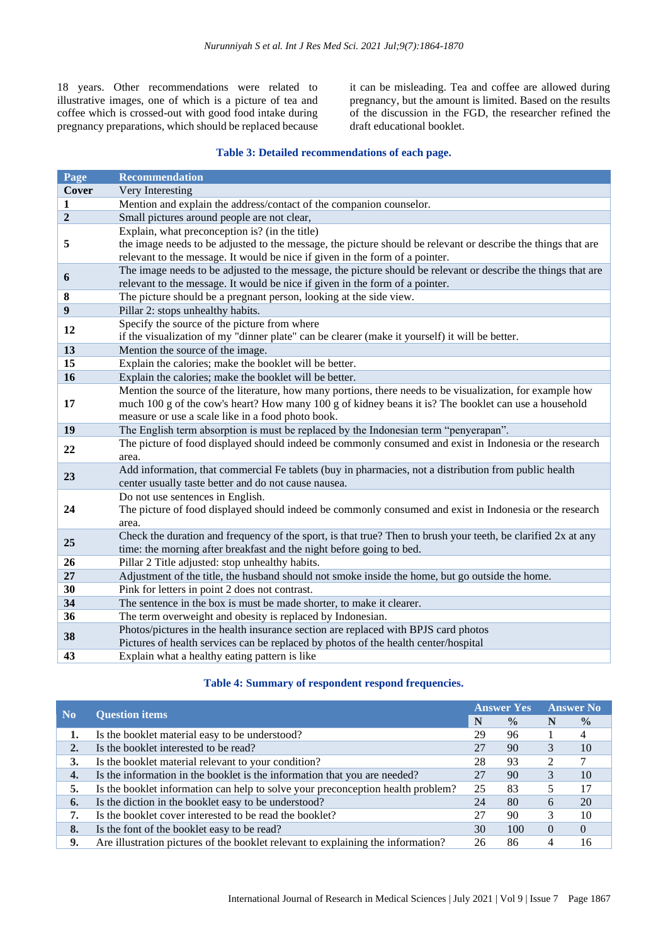18 years. Other recommendations were related to illustrative images, one of which is a picture of tea and coffee which is crossed-out with good food intake during pregnancy preparations, which should be replaced because it can be misleading. Tea and coffee are allowed during pregnancy, but the amount is limited. Based on the results of the discussion in the FGD, the researcher refined the draft educational booklet.

## **Table 3: Detailed recommendations of each page.**

| Page           | <b>Recommendation</b>                                                                                                                                                                                                                                                  |  |  |  |
|----------------|------------------------------------------------------------------------------------------------------------------------------------------------------------------------------------------------------------------------------------------------------------------------|--|--|--|
| Cover          | Very Interesting                                                                                                                                                                                                                                                       |  |  |  |
| 1              | Mention and explain the address/contact of the companion counselor.                                                                                                                                                                                                    |  |  |  |
| $\overline{2}$ | Small pictures around people are not clear,                                                                                                                                                                                                                            |  |  |  |
| 5              | Explain, what preconception is? (in the title)<br>the image needs to be adjusted to the message, the picture should be relevant or describe the things that are<br>relevant to the message. It would be nice if given in the form of a pointer.                        |  |  |  |
| 6              | The image needs to be adjusted to the message, the picture should be relevant or describe the things that are<br>relevant to the message. It would be nice if given in the form of a pointer.                                                                          |  |  |  |
| 8              | The picture should be a pregnant person, looking at the side view.                                                                                                                                                                                                     |  |  |  |
| 9              | Pillar 2: stops unhealthy habits.                                                                                                                                                                                                                                      |  |  |  |
| 12             | Specify the source of the picture from where<br>if the visualization of my "dinner plate" can be clearer (make it yourself) it will be better.                                                                                                                         |  |  |  |
| 13             | Mention the source of the image.                                                                                                                                                                                                                                       |  |  |  |
| 15             | Explain the calories; make the booklet will be better.                                                                                                                                                                                                                 |  |  |  |
| 16             | Explain the calories; make the booklet will be better.                                                                                                                                                                                                                 |  |  |  |
| 17             | Mention the source of the literature, how many portions, there needs to be visualization, for example how<br>much 100 g of the cow's heart? How many 100 g of kidney beans it is? The booklet can use a household<br>measure or use a scale like in a food photo book. |  |  |  |
| 19             | The English term absorption is must be replaced by the Indonesian term "penyerapan".                                                                                                                                                                                   |  |  |  |
| 22             | The picture of food displayed should indeed be commonly consumed and exist in Indonesia or the research<br>area.                                                                                                                                                       |  |  |  |
| 23             | Add information, that commercial Fe tablets (buy in pharmacies, not a distribution from public health<br>center usually taste better and do not cause nausea.                                                                                                          |  |  |  |
| 24             | Do not use sentences in English.<br>The picture of food displayed should indeed be commonly consumed and exist in Indonesia or the research<br>area.                                                                                                                   |  |  |  |
| 25             | Check the duration and frequency of the sport, is that true? Then to brush your teeth, be clarified 2x at any<br>time: the morning after breakfast and the night before going to bed.                                                                                  |  |  |  |
| 26             | Pillar 2 Title adjusted: stop unhealthy habits.                                                                                                                                                                                                                        |  |  |  |
| 27             | Adjustment of the title, the husband should not smoke inside the home, but go outside the home.                                                                                                                                                                        |  |  |  |
| 30             | Pink for letters in point 2 does not contrast.                                                                                                                                                                                                                         |  |  |  |
| 34             | The sentence in the box is must be made shorter, to make it clearer.                                                                                                                                                                                                   |  |  |  |
| 36             | The term overweight and obesity is replaced by Indonesian.                                                                                                                                                                                                             |  |  |  |
| 38             | Photos/pictures in the health insurance section are replaced with BPJS card photos<br>Pictures of health services can be replaced by photos of the health center/hospital                                                                                              |  |  |  |
| 43             | Explain what a healthy eating pattern is like                                                                                                                                                                                                                          |  |  |  |

## **Table 4: Summary of respondent respond frequencies.**

| N <sub>0</sub>   |                                                                                  | <b>Answer Yes</b> |               | <b>Answer No</b> |               |
|------------------|----------------------------------------------------------------------------------|-------------------|---------------|------------------|---------------|
|                  | <b>Question items</b>                                                            |                   | $\frac{0}{0}$ | N                | $\frac{0}{0}$ |
| 1.               | Is the booklet material easy to be understood?                                   | 29                | 96            |                  |               |
| 2.               | Is the booklet interested to be read?                                            |                   | 90            | 3                | 10            |
| 3.               | Is the booklet material relevant to your condition?                              | 28                | 93            | 2                |               |
| $\overline{4}$ . | Is the information in the booklet is the information that you are needed?        |                   | 90            |                  | 10            |
| 5.               | Is the booklet information can help to solve your preconception health problem?  | 25                | 83            |                  | 17            |
| 6.               | Is the diction in the booklet easy to be understood?                             | 24                | 80            | 6                | 20            |
|                  | Is the booklet cover interested to be read the booklet?                          |                   | 90            |                  | 10            |
| 8.               | Is the font of the booklet easy to be read?                                      | 30                | 100           | $\Omega$         | $\Omega$      |
| 9.               | Are illustration pictures of the booklet relevant to explaining the information? | 26                | 86            | 4                | 16            |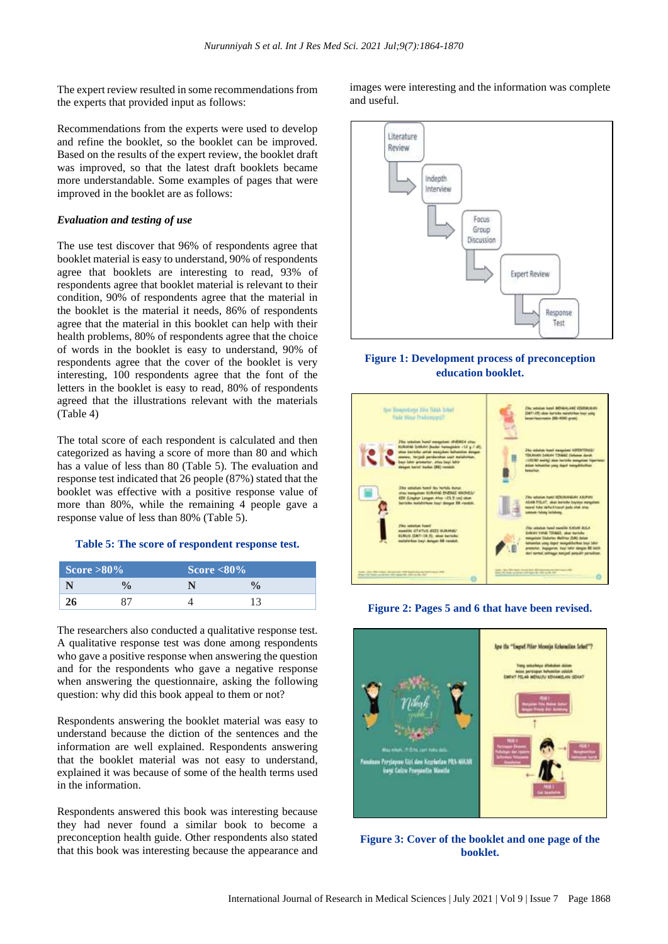The expert review resulted in some recommendations from the experts that provided input as follows:

Recommendations from the experts were used to develop and refine the booklet, so the booklet can be improved. Based on the results of the expert review, the booklet draft was improved, so that the latest draft booklets became more understandable. Some examples of pages that were improved in the booklet are as follows:

#### *Evaluation and testing of use*

The use test discover that 96% of respondents agree that booklet material is easy to understand, 90% of respondents agree that booklets are interesting to read, 93% of respondents agree that booklet material is relevant to their condition, 90% of respondents agree that the material in the booklet is the material it needs, 86% of respondents agree that the material in this booklet can help with their health problems, 80% of respondents agree that the choice of words in the booklet is easy to understand, 90% of respondents agree that the cover of the booklet is very interesting, 100 respondents agree that the font of the letters in the booklet is easy to read, 80% of respondents agreed that the illustrations relevant with the materials (Table 4)

The total score of each respondent is calculated and then categorized as having a score of more than 80 and which has a value of less than 80 (Table 5). The evaluation and response test indicated that 26 people (87%) stated that the booklet was effective with a positive response value of more than 80%, while the remaining 4 people gave a response value of less than 80% (Table 5).

#### **Table 5: The score of respondent response test.**

| Score $>80\%$ |  | Score $<80\%$ |  |  |
|---------------|--|---------------|--|--|
|               |  |               |  |  |
|               |  |               |  |  |

The researchers also conducted a qualitative response test. A qualitative response test was done among respondents who gave a positive response when answering the question and for the respondents who gave a negative response when answering the questionnaire, asking the following question: why did this book appeal to them or not?

Respondents answering the booklet material was easy to understand because the diction of the sentences and the information are well explained. Respondents answering that the booklet material was not easy to understand, explained it was because of some of the health terms used in the information.

Respondents answered this book was interesting because they had never found a similar book to become a preconception health guide. Other respondents also stated that this book was interesting because the appearance and images were interesting and the information was complete and useful.



## **Figure 1: Development process of preconception education booklet.**



#### **Figure 2: Pages 5 and 6 that have been revised.**



**Figure 3: Cover of the booklet and one page of the booklet.**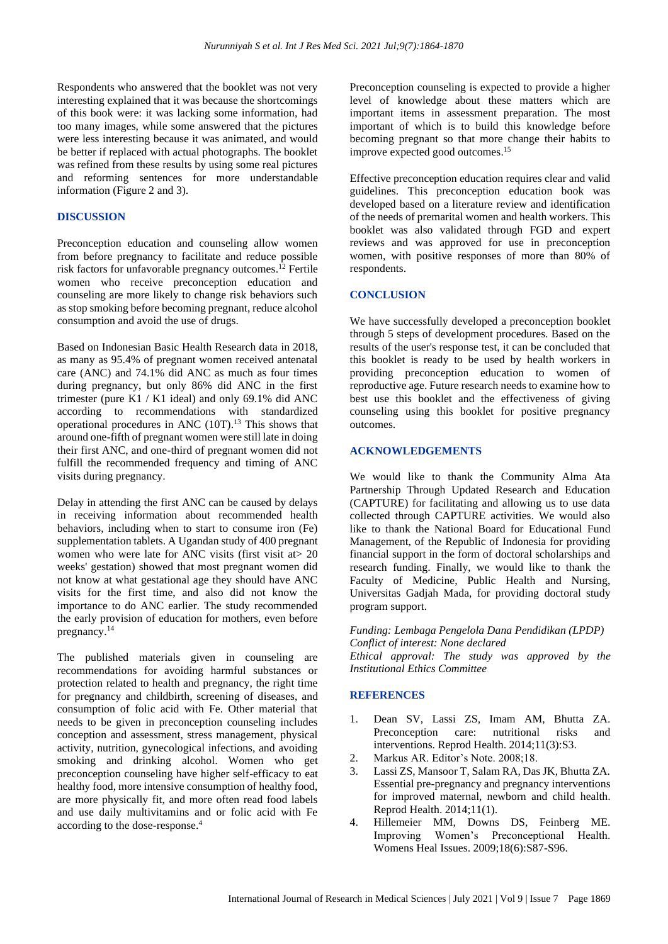Respondents who answered that the booklet was not very interesting explained that it was because the shortcomings of this book were: it was lacking some information, had too many images, while some answered that the pictures were less interesting because it was animated, and would be better if replaced with actual photographs. The booklet was refined from these results by using some real pictures and reforming sentences for more understandable information (Figure 2 and 3).

#### **DISCUSSION**

Preconception education and counseling allow women from before pregnancy to facilitate and reduce possible risk factors for unfavorable pregnancy outcomes. <sup>12</sup> Fertile women who receive preconception education and counseling are more likely to change risk behaviors such as stop smoking before becoming pregnant, reduce alcohol consumption and avoid the use of drugs.

Based on Indonesian Basic Health Research data in 2018, as many as 95.4% of pregnant women received antenatal care (ANC) and 74.1% did ANC as much as four times during pregnancy, but only 86% did ANC in the first trimester (pure K1 / K1 ideal) and only 69.1% did ANC according to recommendations with standardized operational procedures in ANC (10T). <sup>13</sup> This shows that around one-fifth of pregnant women were still late in doing their first ANC, and one-third of pregnant women did not fulfill the recommended frequency and timing of ANC visits during pregnancy.

Delay in attending the first ANC can be caused by delays in receiving information about recommended health behaviors, including when to start to consume iron (Fe) supplementation tablets. A Ugandan study of 400 pregnant women who were late for ANC visits (first visit at  $> 20$ ) weeks' gestation) showed that most pregnant women did not know at what gestational age they should have ANC visits for the first time, and also did not know the importance to do ANC earlier. The study recommended the early provision of education for mothers, even before pregnancy. 14

The published materials given in counseling are recommendations for avoiding harmful substances or protection related to health and pregnancy, the right time for pregnancy and childbirth, screening of diseases, and consumption of folic acid with Fe. Other material that needs to be given in preconception counseling includes conception and assessment, stress management, physical activity, nutrition, gynecological infections, and avoiding smoking and drinking alcohol. Women who get preconception counseling have higher self-efficacy to eat healthy food, more intensive consumption of healthy food, are more physically fit, and more often read food labels and use daily multivitamins and or folic acid with Fe according to the dose-response. 4

Preconception counseling is expected to provide a higher level of knowledge about these matters which are important items in assessment preparation. The most important of which is to build this knowledge before becoming pregnant so that more change their habits to improve expected good outcomes. 15

Effective preconception education requires clear and valid guidelines. This preconception education book was developed based on a literature review and identification of the needs of premarital women and health workers. This booklet was also validated through FGD and expert reviews and was approved for use in preconception women, with positive responses of more than 80% of respondents.

#### **CONCLUSION**

We have successfully developed a preconception booklet through 5 steps of development procedures. Based on the results of the user's response test, it can be concluded that this booklet is ready to be used by health workers in providing preconception education to women of reproductive age. Future research needs to examine how to best use this booklet and the effectiveness of giving counseling using this booklet for positive pregnancy outcomes.

#### **ACKNOWLEDGEMENTS**

We would like to thank the Community Alma Ata Partnership Through Updated Research and Education (CAPTURE) for facilitating and allowing us to use data collected through CAPTURE activities. We would also like to thank the National Board for Educational Fund Management, of the Republic of Indonesia for providing financial support in the form of doctoral scholarships and research funding. Finally, we would like to thank the Faculty of Medicine, Public Health and Nursing, Universitas Gadjah Mada, for providing doctoral study program support.

*Funding: Lembaga Pengelola Dana Pendidikan (LPDP) Conflict of interest: None declared Ethical approval: The study was approved by the Institutional Ethics Committee*

## **REFERENCES**

- 1. Dean SV, Lassi ZS, Imam AM, Bhutta ZA. Preconception care: nutritional risks and interventions. Reprod Health. 2014;11(3):S3.
- 2. Markus AR. Editor's Note. 2008;18.
- 3. Lassi ZS, Mansoor T, Salam RA, Das JK, Bhutta ZA. Essential pre-pregnancy and pregnancy interventions for improved maternal, newborn and child health. Reprod Health. 2014;11(1).
- 4. Hillemeier MM, Downs DS, Feinberg ME. Improving Women's Preconceptional Health. Womens Heal Issues. 2009;18(6):S87-S96.